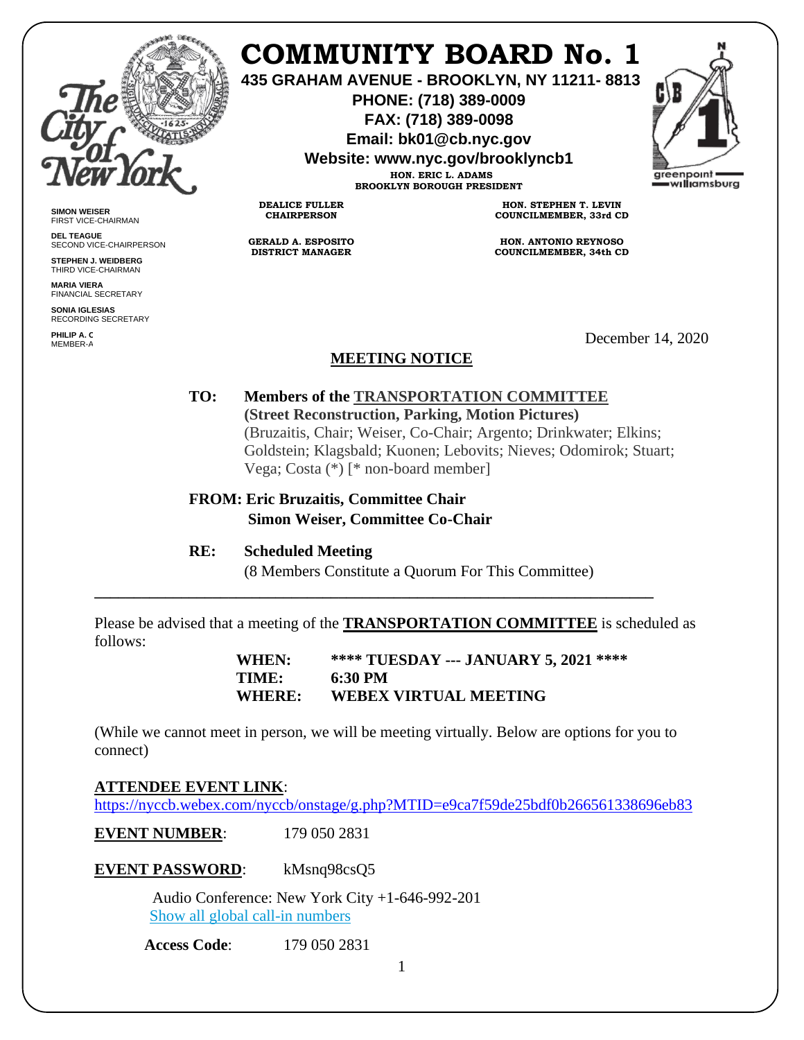

# **COMMUNITY BOARD No. 1**

**435 GRAHAM AVENUE - BROOKLYN, NY 11211- 8813**

**PHONE: (718) 389-0009 FAX: (718) 389-0098**

**Email: bk01@cb.nyc.gov**

**Website: www.nyc.gov/brooklyncb1**

**HON. ERIC L. ADAMS BROOKLYN BOROUGH PRESIDENT**



**SIMON WEISER** FIRST VICE-CHAIRMAN

**DEL TEAGUE** SECOND VICE-CHAIRPERSON

**STEPHEN J. WEIDBERG** THIRD VICE-CHAIRMAN

**MARIA VIERA** FINANCIAL SECRETARY **SONIA IGLESIAS**

RECORDING SECRETARY

**PHILIP A. C**<br>MEMBER-A

**HON. STEPHEN T. LEVIN COUNCILMEMBER, 33rd CD**

**HON. ANTONIO REYNOSO COUNCILMEMBER, 34th CD**

December 14, 2020

## **MEETING NOTICE**

**TO: Members of the TRANSPORTATION COMMITTEE (Street Reconstruction, Parking, Motion Pictures)** (Bruzaitis, Chair; Weiser, Co-Chair; Argento; Drinkwater; Elkins; Goldstein; Klagsbald; Kuonen; Lebovits; Nieves; Odomirok; Stuart; Vega; Costa (\*) [\* non-board member]

## **FROM: Eric Bruzaitis, Committee Chair Simon Weiser, Committee Co-Chair**

#### **RE: Scheduled Meeting**

**DEALICE FULLER CHAIRPERSON**

**GERALD A. ESPOSITO DISTRICT MANAGER**

(8 Members Constitute a Quorum For This Committee)

Please be advised that a meeting of the **TRANSPORTATION COMMITTEE** is scheduled as follows:

**\_\_\_\_\_\_\_\_\_\_\_\_\_\_\_\_\_\_\_\_\_\_\_\_\_\_\_\_\_\_\_\_\_\_\_\_\_\_\_\_\_\_\_\_\_\_\_\_\_\_\_\_\_\_\_\_\_\_\_\_\_\_\_\_\_\_\_\_\_\_\_**

**WHEN: \*\*\*\* TUESDAY --- JANUARY 5, 2021 \*\*\*\* TIME: 6:30 PM WHERE: WEBEX VIRTUAL MEETING**

(While we cannot meet in person, we will be meeting virtually. Below are options for you to connect)

## **ATTENDEE EVENT LINK**[:](https://nyccb.webex.com/nyccb/onstage/g.php?MTID=e9ca7f59de25bdf0b266561338696eb83)

<https://nyccb.webex.com/nyccb/onstage/g.php?MTID=e9ca7f59de25bdf0b266561338696eb83>

**EVENT NUMBER:** 179 050 2831

**EVENT PASSWORD**: kMsnq98csQ5

 Audio Conference: New York City +1-646-992-201 [Show all global call-in numbers](https://nyccb.webex.com/cmp3300/webcomponents/widget/globalcallin/globalcallin.do?siteurl=nyccb&serviceType=EC&eventID=1101180212&tollFree=0)

**Access Code**: 179 050 2831